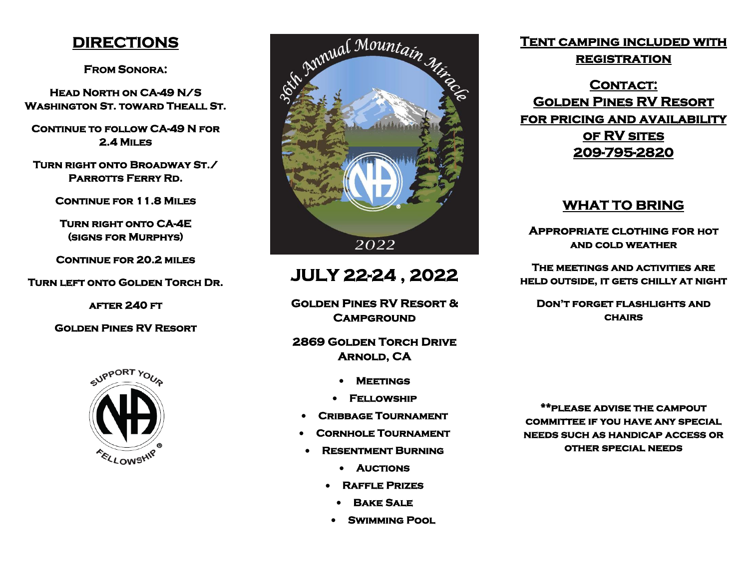### **DIRECTIONS**

**FROM SONORA:** 

**Head North on CA-49 N/S Washington St. toward Theall St.** 

**CONTINUE TO FOLLOW CA-49 N FOR 2.4 Miles** 

**Turn right onto Broadway St./ Parrotts Ferry Rd.** 

**Continue for 11.8 Miles** 

**Turn right onto CA-4E (signs for Murphys)** 

**Continue for 20.2 miles** 

**Turn left onto Golden Torch Dr.** 

**after 240 ft** 

**Golden Pines RV Resort** 





# **JULY 22-24 , 2022**

**Golden Pines RV Resort & Campground** 

**2869 Golden Torch Drive Arnold, CA** 

- **Meetings**
- **Fellowship**
- **Cribbage Tournament**
- **Cornhole Tournament**
- **Resentment Burning** 
	- **Auctions**
	- **Raffle Prizes** 
		- **Bake Sale**
	- **Swimming Pool**

## **Tent camping included with**

**registration** 

CONTACT: **Golden Pines RV Resort for pricing and availability of RV sites 209-795-2820** 

### **WHAT TO BRING**

**Appropriate clothing for hot and cold weather** 

**The meetings and activities are held outside, it gets chilly at night** 

**Don't forget flashlights and chairs** 

**\*\*please advise the campout committee if you have any special needs such as handicap access or other special needs**